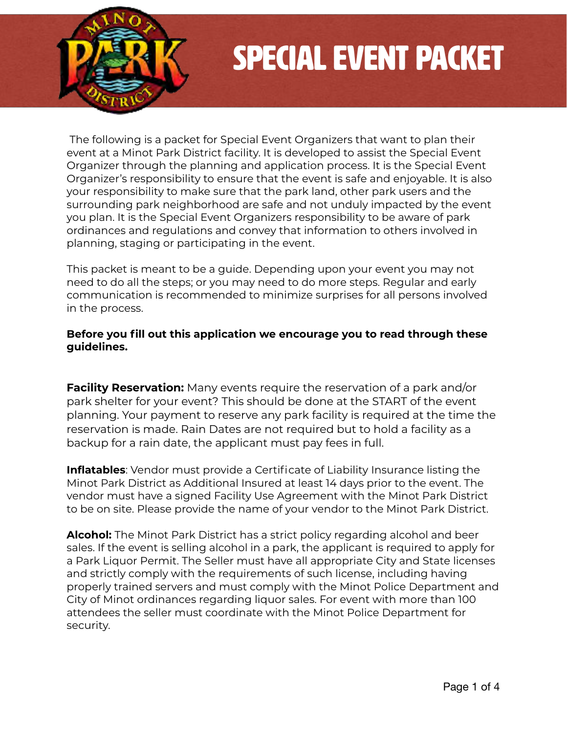

# Special Event Packet

The following is a packet for Special Event Organizers that want to plan their event at a Minot Park District facility. It is developed to assist the Special Event Organizer through the planning and application process. It is the Special Event Organizer's responsibility to ensure that the event is safe and enjoyable. It is also your responsibility to make sure that the park land, other park users and the surrounding park neighborhood are safe and not unduly impacted by the event you plan. It is the Special Event Organizers responsibility to be aware of park ordinances and regulations and convey that information to others involved in planning, staging or participating in the event.

This packet is meant to be a guide. Depending upon your event you may not need to do all the steps; or you may need to do more steps. Regular and early communication is recommended to minimize surprises for all persons involved in the process.

#### **Before you fill out this application we encourage you to read through these guidelines.**

**Facility Reservation:** Many events require the reservation of a park and/or park shelter for your event? This should be done at the START of the event planning. Your payment to reserve any park facility is required at the time the reservation is made. Rain Dates are not required but to hold a facility as a backup for a rain date, the applicant must pay fees in full.

**Inflatables**: Vendor must provide a Certificate of Liability Insurance listing the Minot Park District as Additional Insured at least 14 days prior to the event. The vendor must have a signed Facility Use Agreement with the Minot Park District to be on site. Please provide the name of your vendor to the Minot Park District.

**Alcohol:** The Minot Park District has a strict policy regarding alcohol and beer sales. If the event is selling alcohol in a park, the applicant is required to apply for a Park Liquor Permit. The Seller must have all appropriate City and State licenses and strictly comply with the requirements of such license, including having properly trained servers and must comply with the Minot Police Department and City of Minot ordinances regarding liquor sales. For event with more than 100 attendees the seller must coordinate with the Minot Police Department for security.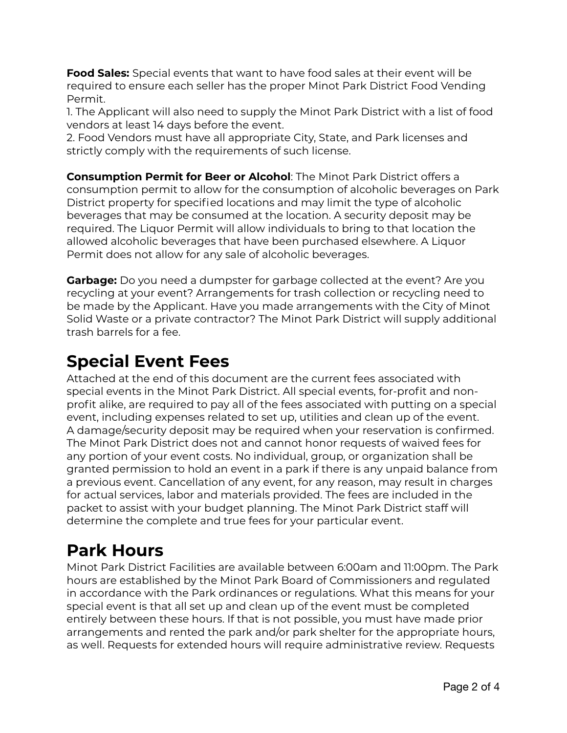**Food Sales:** Special events that want to have food sales at their event will be required to ensure each seller has the proper Minot Park District Food Vending Permit.

1. The Applicant will also need to supply the Minot Park District with a list of food vendors at least 14 days before the event.

2. Food Vendors must have all appropriate City, State, and Park licenses and strictly comply with the requirements of such license.

**Consumption Permit for Beer or Alcohol**: The Minot Park District offers a consumption permit to allow for the consumption of alcoholic beverages on Park District property for specified locations and may limit the type of alcoholic beverages that may be consumed at the location. A security deposit may be required. The Liquor Permit will allow individuals to bring to that location the allowed alcoholic beverages that have been purchased elsewhere. A Liquor Permit does not allow for any sale of alcoholic beverages.

**Garbage:** Do you need a dumpster for garbage collected at the event? Are you recycling at your event? Arrangements for trash collection or recycling need to be made by the Applicant. Have you made arrangements with the City of Minot Solid Waste or a private contractor? The Minot Park District will supply additional trash barrels for a fee.

### **Special Event Fees**

Attached at the end of this document are the current fees associated with special events in the Minot Park District. All special events, for-profit and nonprofit alike, are required to pay all of the fees associated with putting on a special event, including expenses related to set up, utilities and clean up of the event. A damage/security deposit may be required when your reservation is confirmed. The Minot Park District does not and cannot honor requests of waived fees for any portion of your event costs. No individual, group, or organization shall be granted permission to hold an event in a park if there is any unpaid balance from a previous event. Cancellation of any event, for any reason, may result in charges for actual services, labor and materials provided. The fees are included in the packet to assist with your budget planning. The Minot Park District staff will determine the complete and true fees for your particular event.

### **Park Hours**

Minot Park District Facilities are available between 6:00am and 11:00pm. The Park hours are established by the Minot Park Board of Commissioners and regulated in accordance with the Park ordinances or regulations. What this means for your special event is that all set up and clean up of the event must be completed entirely between these hours. If that is not possible, you must have made prior arrangements and rented the park and/or park shelter for the appropriate hours, as well. Requests for extended hours will require administrative review. Requests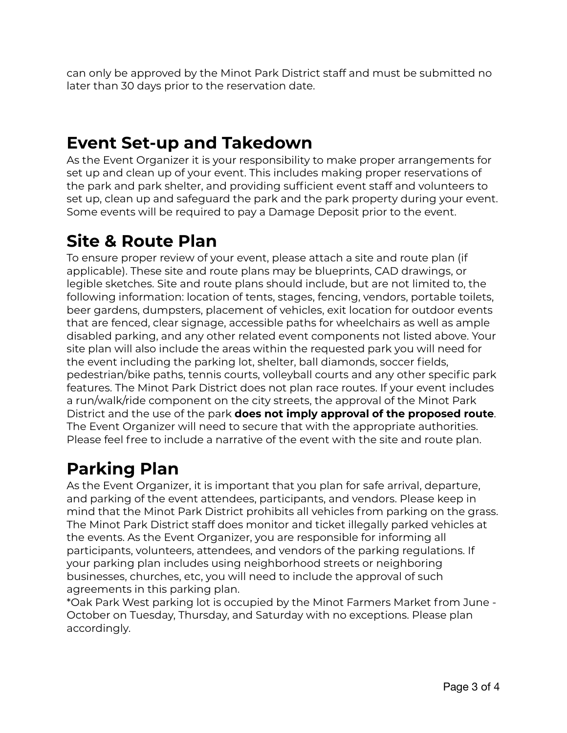can only be approved by the Minot Park District staff and must be submitted no later than 30 days prior to the reservation date.

### **Event Set-up and Takedown**

As the Event Organizer it is your responsibility to make proper arrangements for set up and clean up of your event. This includes making proper reservations of the park and park shelter, and providing sufficient event staff and volunteers to set up, clean up and safeguard the park and the park property during your event. Some events will be required to pay a Damage Deposit prior to the event.

### **Site & Route Plan**

To ensure proper review of your event, please attach a site and route plan (if applicable). These site and route plans may be blueprints, CAD drawings, or legible sketches. Site and route plans should include, but are not limited to, the following information: location of tents, stages, fencing, vendors, portable toilets, beer gardens, dumpsters, placement of vehicles, exit location for outdoor events that are fenced, clear signage, accessible paths for wheelchairs as well as ample disabled parking, and any other related event components not listed above. Your site plan will also include the areas within the requested park you will need for the event including the parking lot, shelter, ball diamonds, soccer fields, pedestrian/bike paths, tennis courts, volleyball courts and any other specific park features. The Minot Park District does not plan race routes. If your event includes a run/walk/ride component on the city streets, the approval of the Minot Park District and the use of the park **does not imply approval of the proposed route**. The Event Organizer will need to secure that with the appropriate authorities. Please feel free to include a narrative of the event with the site and route plan.

### **Parking Plan**

As the Event Organizer, it is important that you plan for safe arrival, departure, and parking of the event attendees, participants, and vendors. Please keep in mind that the Minot Park District prohibits all vehicles from parking on the grass. The Minot Park District staff does monitor and ticket illegally parked vehicles at the events. As the Event Organizer, you are responsible for informing all participants, volunteers, attendees, and vendors of the parking regulations. If your parking plan includes using neighborhood streets or neighboring businesses, churches, etc, you will need to include the approval of such agreements in this parking plan.

\*Oak Park West parking lot is occupied by the Minot Farmers Market from June - October on Tuesday, Thursday, and Saturday with no exceptions. Please plan accordingly.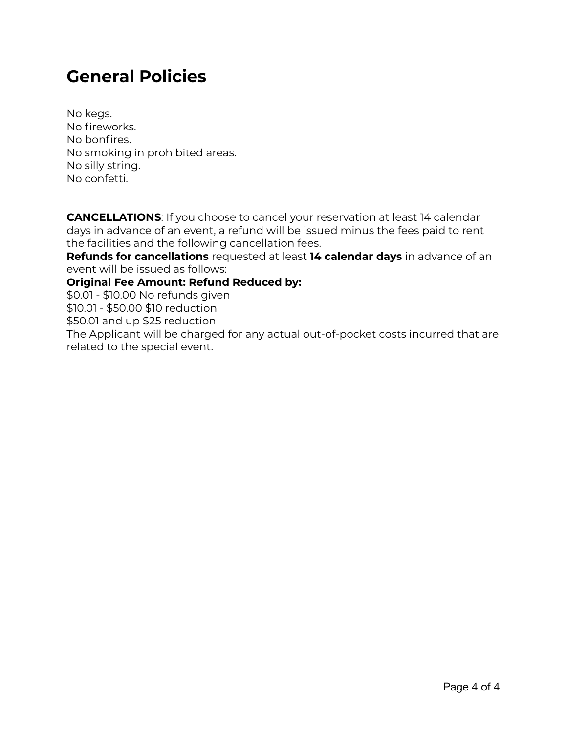### **General Policies**

No kegs. No fireworks. No bonfires. No smoking in prohibited areas. No silly string. No confetti.

**CANCELLATIONS**: If you choose to cancel your reservation at least 14 calendar days in advance of an event, a refund will be issued minus the fees paid to rent the facilities and the following cancellation fees.

**Refunds for cancellations** requested at least **14 calendar days** in advance of an event will be issued as follows:

#### **Original Fee Amount: Refund Reduced by:**

\$0.01 - \$10.00 No refunds given

\$10.01 - \$50.00 \$10 reduction

\$50.01 and up \$25 reduction

The Applicant will be charged for any actual out-of-pocket costs incurred that are related to the special event.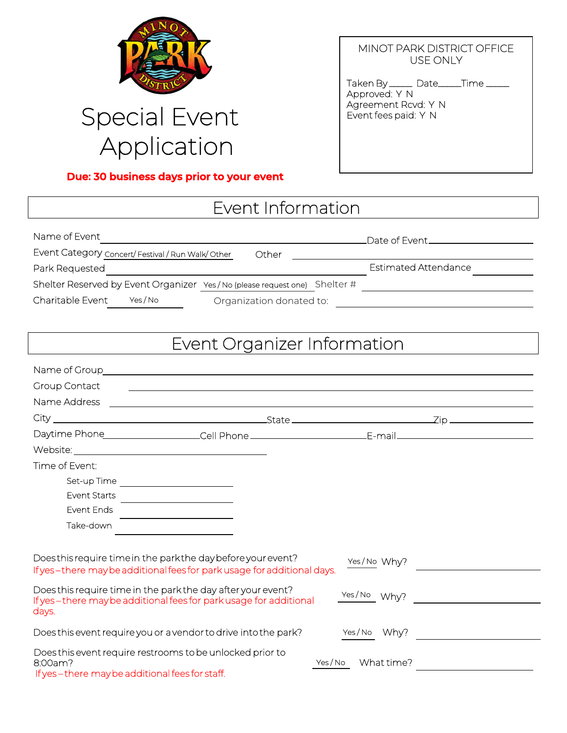

## Special Event Application

#### **Due: 30 business days prior to your event**

#### MINOT PARK DISTRICT OFFICE USE ONLY

Taken By \_\_\_\_\_\_ Date\_\_\_\_\_Time \_\_\_\_\_ Approved: Y N Agreement Rcvd: Y N Event fees paid: Y N

### Event Information

| Name of Event                                                             |                          |  |                             |
|---------------------------------------------------------------------------|--------------------------|--|-----------------------------|
| Event Category concert/ Festival / Run Walk/ Other                        | Other                    |  |                             |
| Park Requested                                                            |                          |  | <b>Estimated Attendance</b> |
| Shelter Reserved by Event Organizer Yes/No (please request one) Shelter # |                          |  |                             |
| Charitable Event<br>Yes / No                                              | Organization donated to: |  |                             |

### Event Organizer Information

| Group Contact                                             |                                                                                                                                        |                        |  |
|-----------------------------------------------------------|----------------------------------------------------------------------------------------------------------------------------------------|------------------------|--|
| Name Address                                              | <u> 1989 - Johann Stoff, deutscher Stoffen und der Stoffen und der Stoffen und der Stoffen und der Stoffen und de</u>                  |                        |  |
|                                                           |                                                                                                                                        |                        |  |
|                                                           |                                                                                                                                        |                        |  |
|                                                           |                                                                                                                                        |                        |  |
| Time of Event:                                            |                                                                                                                                        |                        |  |
|                                                           |                                                                                                                                        |                        |  |
| Event Starts                                              |                                                                                                                                        |                        |  |
| Event Ends                                                |                                                                                                                                        |                        |  |
| Take-down                                                 | <u> 1980 - Jan Stein Harry Stein Harry Stein Harry Stein Harry Stein Harry Stein Harry Stein Harry Stein Harry St</u>                  |                        |  |
|                                                           |                                                                                                                                        |                        |  |
|                                                           | Doesthis require time in the parkthe day before your event?<br>If yes-there may be additional fees for park usage for additional days. | Yes/No Why?            |  |
| days.                                                     | Does this require time in the park the day after your event?<br>If yes-there may be additional fees for park usage for additional      | Yes/No Why?            |  |
|                                                           | Does this event require you or a vendor to drive into the park?                                                                        | Yes/No Why?            |  |
| 8:00am?<br>If yes-there may be additional fees for staff. | Does this event require restrooms to be unlocked prior to                                                                              | What time?<br>Yes / No |  |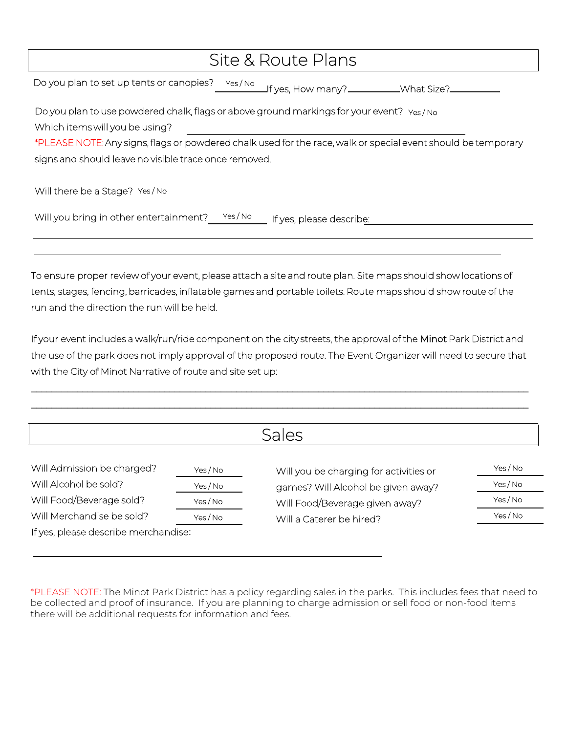| Site & Route Plans                                                                                            |  |  |  |  |
|---------------------------------------------------------------------------------------------------------------|--|--|--|--|
| Do you plan to set up tents or canopies?<br>Yes/No<br>If yes, How many?___________What Size?____              |  |  |  |  |
| Do you plan to use powdered chalk, flags or above ground markings for your event? Yes/No                      |  |  |  |  |
| Which items will you be using?                                                                                |  |  |  |  |
| *PLEASE NOTE: Any signs, flags or powdered chalk used for the race, walk or special event should be temporary |  |  |  |  |
| signs and should leave no visible trace once removed.                                                         |  |  |  |  |
|                                                                                                               |  |  |  |  |
| Will there be a Stage? Yes/No                                                                                 |  |  |  |  |
| Yes / No<br>Will you bring in other entertainment?<br>If yes, please describe:                                |  |  |  |  |

To ensure proper review of your event, please attach a site and route plan. Site maps should show locations of tents, stages, fencing, barricades, inflatable games and portable toilets. Route maps should show route of the run and the direction the run will be held.

If your event includes a walk/run/ride component on the city streets, the approval of the Minot Park District and the use of the park does not imply approval of the proposed route. The Event Organizer will need to secure that with the City of Minot Narrative of route and site set up:

\_\_\_\_\_\_\_\_\_\_\_\_\_\_\_\_\_\_\_\_\_\_\_\_\_\_\_\_\_\_\_\_\_\_\_\_\_\_\_\_\_\_\_\_\_\_\_\_\_\_\_\_\_\_\_\_\_\_\_\_\_\_\_\_\_\_\_\_\_\_\_\_\_\_\_\_\_\_\_\_\_\_\_\_\_\_\_\_\_\_\_\_\_\_\_\_\_ \_\_\_\_\_\_\_\_\_\_\_\_\_\_\_\_\_\_\_\_\_\_\_\_\_\_\_\_\_\_\_\_\_\_\_\_\_\_\_\_\_\_\_\_\_\_\_\_\_\_\_\_\_\_\_\_\_\_\_\_\_\_\_\_\_\_\_\_\_\_\_\_\_\_\_\_\_\_\_\_\_\_\_\_\_\_\_\_\_\_\_\_\_\_\_\_\_

|                                      |          | Sales                                                                |          |
|--------------------------------------|----------|----------------------------------------------------------------------|----------|
| Will Admission be charged?           | Yes / No | Will you be charging for activities or                               | Yes / No |
| Will Alcohol be sold?                | Yes / No | games? Will Alcohol be given away?<br>Will Food/Beverage given away? | Yes/No   |
| Will Food/Beverage sold?             | Yes / No |                                                                      | Yes / No |
| Will Merchandise be sold?            | Yes/No   | Will a Caterer be hired?                                             | Yes/No   |
| If yes, please describe merchandise: |          |                                                                      |          |

\*PLEASE NOTE: The Minot Park District has a policy regarding sales in the parks. This includes fees that need to be collected and proof of insurance. If you are planning to charge admission or sell food or non-food items there will be additional requests for information and fees.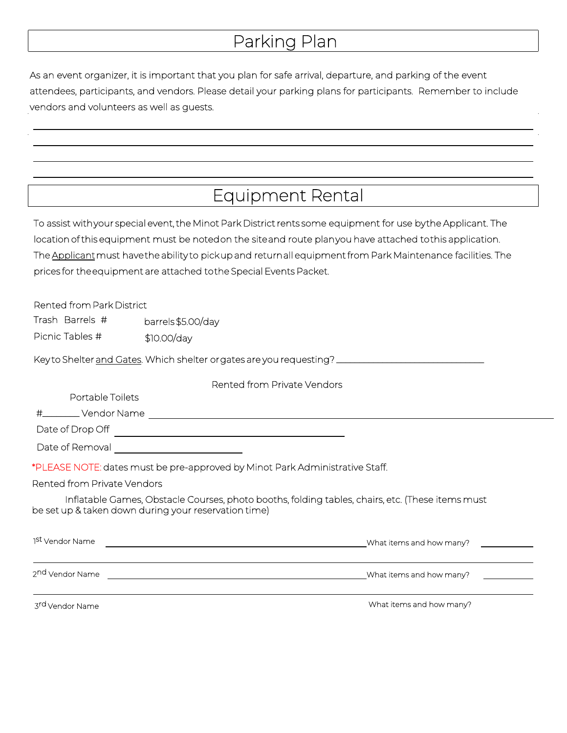### Parking Plan

As an event organizer, it is important that you plan for safe arrival, departure, and parking of the event attendees, participants, and vendors. Please detail your parking plans for participants. Remember to include vendors and volunteers as well as guests.

### Equipment Rental

To assist with your special event, the Minot Park District rents some equipment for use by the Applicant. The location of this equipment must be noted on the site and route plan you have attached to this application. The Applicant must have the ability to pick up and return all equipment from Park Maintenance facilities. The prices for the equipment are attached to the Special Events Packet.

| Rented from Park District   |                                                                                                                                                                                                                                                                                                                                                |                          |
|-----------------------------|------------------------------------------------------------------------------------------------------------------------------------------------------------------------------------------------------------------------------------------------------------------------------------------------------------------------------------------------|--------------------------|
| Trash Barrels #             | barrels \$5.00/day                                                                                                                                                                                                                                                                                                                             |                          |
| Picnic Tables #             | \$10.00/day                                                                                                                                                                                                                                                                                                                                    |                          |
|                             | Key to Shelter and Gates. Which shelter orgates are you requesting? _______________________________                                                                                                                                                                                                                                            |                          |
|                             | Rented from Private Vendors                                                                                                                                                                                                                                                                                                                    |                          |
| Portable Toilets            |                                                                                                                                                                                                                                                                                                                                                |                          |
|                             |                                                                                                                                                                                                                                                                                                                                                |                          |
| Date of Drop Off            | <u> 1980 - Johann Barbara, martxa alemaniar amerikan a</u>                                                                                                                                                                                                                                                                                     |                          |
| Date of Removal             | <u> 1990 - Johann Barbara, martin a</u>                                                                                                                                                                                                                                                                                                        |                          |
|                             | *PLEASE NOTE: dates must be pre-approved by Minot Park Administrative Staff.                                                                                                                                                                                                                                                                   |                          |
| Rented from Private Vendors |                                                                                                                                                                                                                                                                                                                                                |                          |
|                             | Inflatable Games, Obstacle Courses, photo booths, folding tables, chairs, etc. (These items must<br>be set up & taken down during your reservation time)                                                                                                                                                                                       |                          |
| 1 <sup>st</sup> Vendor Name | <u> 1980 - Johann Barn, mars ann an t-Amhain Aonaich an t-Aonaich an t-Aonaich ann an t-Aonaich ann an t-Aonaich</u>                                                                                                                                                                                                                           | What items and how many? |
|                             | the control of the control of the control of the control of the control of the control of the control of the control of the control of the control of the control of the control of the control of the control of the control<br>2nd Vendor Name 2008 2009 2009 2010 2020 2031 2040 2050 2061 2071 2082 2093 2009 2010 2020 2031 2040 2051 205 | What items and how many? |
|                             |                                                                                                                                                                                                                                                                                                                                                |                          |

3rd Vendor Name

What items and how many?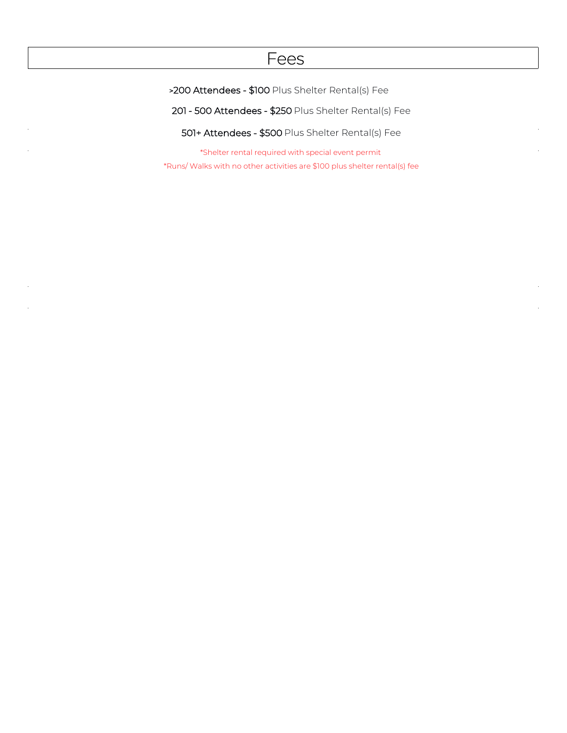#### Fees

>200 Attendees - \$100 Plus Shelter Rental(s) Fee

201 - 500 Attendees - \$250 Plus Shelter Rental(s) Fee

501+ Attendees - \$500 Plus Shelter Rental(s) Fee

\*Shelter rental required with special event permit \*Runs/ Walks with no other activities are \$100 plus shelter rental(s) fee